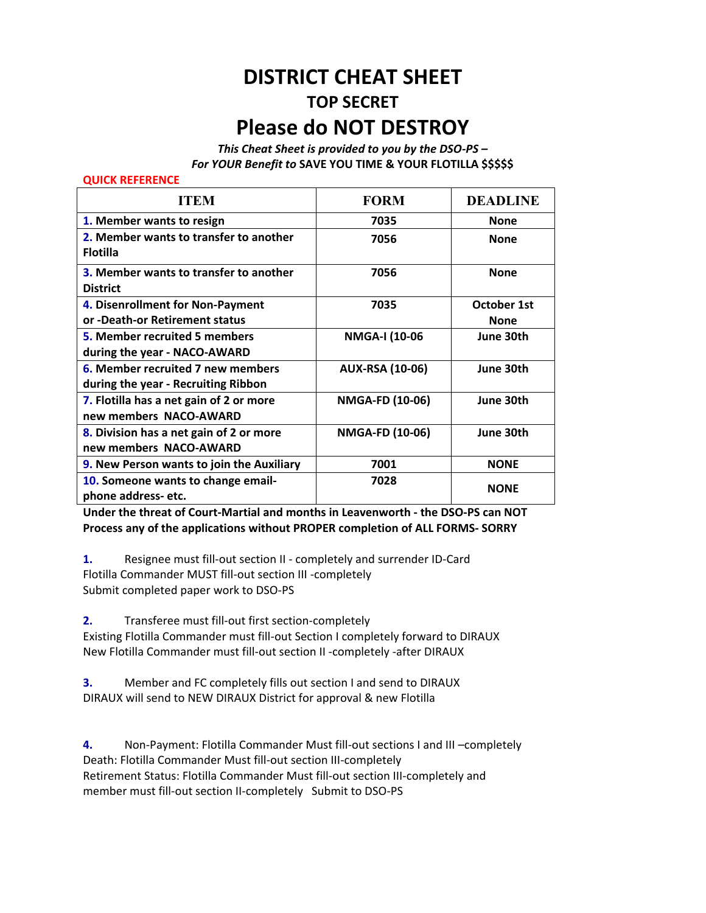## **DISTRICT CHEAT SHEET TOP SECRET Please do NOT DESTROY**

*This Cheat Sheet is provided to you by the DSO‐PS – For YOUR Benefit to* **SAVE YOU TIME & YOUR FLOTILLA \$\$\$\$\$** 

## **QUICK REFERENCE**

| <b>ITEM</b>                                                              | <b>FORM</b>            | <b>DEADLINE</b>            |
|--------------------------------------------------------------------------|------------------------|----------------------------|
| 1. Member wants to resign                                                | 7035                   | <b>None</b>                |
| 2. Member wants to transfer to another<br><b>Flotilla</b>                | 7056                   | <b>None</b>                |
| 3. Member wants to transfer to another<br><b>District</b>                | 7056                   | <b>None</b>                |
| 4. Disenrollment for Non-Payment<br>or -Death-or Retirement status       | 7035                   | October 1st<br><b>None</b> |
| <b>5. Member recruited 5 members</b><br>during the year - NACO-AWARD     | NMGA-I (10-06          | June 30th                  |
| 6. Member recruited 7 new members<br>during the year - Recruiting Ribbon | <b>AUX-RSA (10-06)</b> | June 30th                  |
| 7. Flotilla has a net gain of 2 or more<br>new members NACO-AWARD        | NMGA-FD (10-06)        | June 30th                  |
| 8. Division has a net gain of 2 or more<br>new members NACO-AWARD        | <b>NMGA-FD (10-06)</b> | June 30th                  |
| 9. New Person wants to join the Auxiliary                                | 7001                   | <b>NONE</b>                |
| 10. Someone wants to change email-<br>phone address-etc.                 | 7028                   | <b>NONE</b>                |

**Under the threat of Court‐Martial and months in Leavenworth ‐ the DSO‐PS can NOT Process any of the applications without PROPER completion of ALL FORMS‐ SORRY** 

**1.** Resignee must fill‐out section II ‐ completely and surrender ID‐Card Flotilla Commander MUST fill‐out section III ‐completely Submit completed paper work to DSO‐PS

**2.** Transferee must fill‐out first section‐completely

Existing Flotilla Commander must fill‐out Section I completely forward to DIRAUX New Flotilla Commander must fill‐out section II ‐completely ‐after DIRAUX

**3.** Member and FC completely fills out section I and send to DIRAUX DIRAUX will send to NEW DIRAUX District for approval & new Flotilla

**4.** Non‐Payment: Flotilla Commander Must fill‐out sections I and III –completely Death: Flotilla Commander Must fill‐out section III‐completely Retirement Status: Flotilla Commander Must fill‐out section III‐completely and member must fill‐out section II‐completely Submit to DSO‐PS